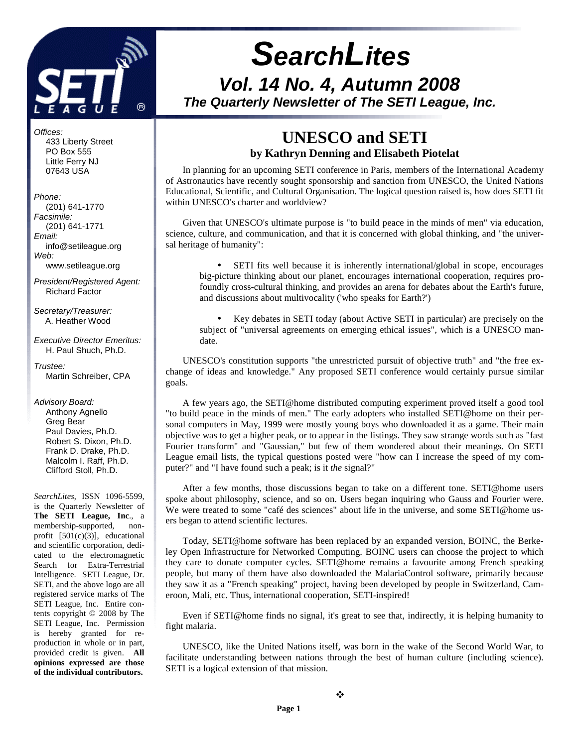

# **SearchLites Vol. 14 No. 4, Autumn 2008 The Quarterly Newsletter of The SETI League, Inc.**

Offices:

 433 Liberty Street PO Box 555 Little Ferry NJ 07643 USA

Phone: (201) 641-1770 Facsimile: (201) 641-1771 Email: info@setileague.org Web: www.setileague.org

President/Registered Agent: Richard Factor

Secretary/Treasurer: A. Heather Wood

Executive Director Emeritus: H. Paul Shuch, Ph.D.

Trustee: Martin Schreiber, CPA

#### Advisory Board:

 Anthony Agnello Greg Bear Paul Davies, Ph.D. Robert S. Dixon, Ph.D. Frank D. Drake, Ph.D. Malcolm I. Raff, Ph.D. Clifford Stoll, Ph.D.

*SearchLites*, ISSN 1096-5599, is the Quarterly Newsletter of **The SETI League, Inc**., a membership-supported, nonprofit [501(c)(3)], educational and scientific corporation, dedicated to the electromagnetic Search for Extra-Terrestrial Intelligence. SETI League, Dr. SETI, and the above logo are all registered service marks of The SETI League, Inc. Entire contents copyright © 2008 by The SETI League, Inc. Permission is hereby granted for reproduction in whole or in part, provided credit is given. **All opinions expressed are those of the individual contributors.** 

### **UNESCO and SETI by Kathryn Denning and Elisabeth Piotelat**

In planning for an upcoming SETI conference in Paris, members of the International Academy of Astronautics have recently sought sponsorship and sanction from UNESCO, the United Nations Educational, Scientific, and Cultural Organisation. The logical question raised is, how does SETI fit within UNESCO's charter and worldview?

Given that UNESCO's ultimate purpose is "to build peace in the minds of men" via education, science, culture, and communication, and that it is concerned with global thinking, and "the universal heritage of humanity":

• SETI fits well because it is inherently international/global in scope, encourages big-picture thinking about our planet, encourages international cooperation, requires profoundly cross-cultural thinking, and provides an arena for debates about the Earth's future, and discussions about multivocality ('who speaks for Earth?')

• Key debates in SETI today (about Active SETI in particular) are precisely on the subject of "universal agreements on emerging ethical issues", which is a UNESCO mandate.

UNESCO's constitution supports "the unrestricted pursuit of objective truth" and "the free exchange of ideas and knowledge." Any proposed SETI conference would certainly pursue similar goals.

A few years ago, the SETI@home distributed computing experiment proved itself a good tool "to build peace in the minds of men." The early adopters who installed SETI@home on their personal computers in May, 1999 were mostly young boys who downloaded it as a game. Their main objective was to get a higher peak, or to appear in the listings. They saw strange words such as "fast Fourier transform" and "Gaussian," but few of them wondered about their meanings. On SETI League email lists, the typical questions posted were "how can I increase the speed of my computer?" and "I have found such a peak; is it *the* signal?"

After a few months, those discussions began to take on a different tone. SETI@home users spoke about philosophy, science, and so on. Users began inquiring who Gauss and Fourier were. We were treated to some "café des sciences" about life in the universe, and some SETI@home users began to attend scientific lectures.

Today, SETI@home software has been replaced by an expanded version, BOINC, the Berkeley Open Infrastructure for Networked Computing. BOINC users can choose the project to which they care to donate computer cycles. SETI@home remains a favourite among French speaking people, but many of them have also downloaded the MalariaControl software, primarily because they saw it as a "French speaking" project, having been developed by people in Switzerland, Cameroon, Mali, etc. Thus, international cooperation, SETI-inspired!

Even if SETI@home finds no signal, it's great to see that, indirectly, it is helping humanity to fight malaria.

UNESCO, like the United Nations itself, was born in the wake of the Second World War, to facilitate understanding between nations through the best of human culture (including science). SETI is a logical extension of that mission.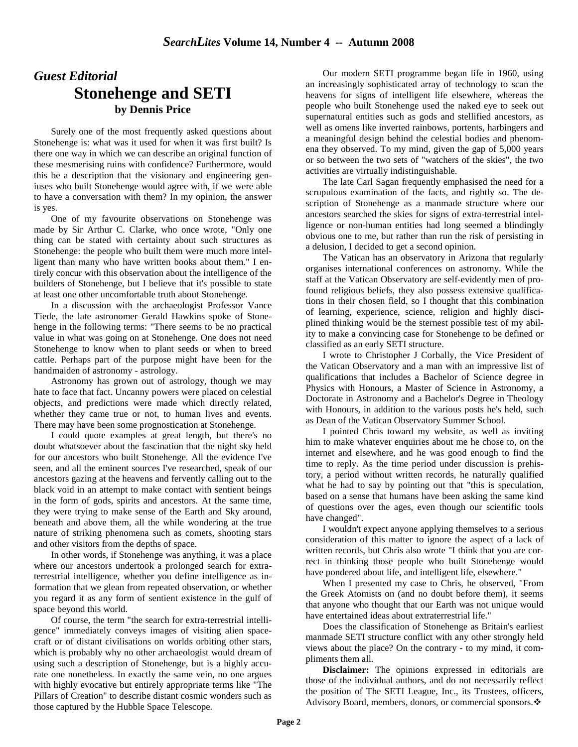## *Guest Editorial*  **Stonehenge and SETI by Dennis Price**

Surely one of the most frequently asked questions about Stonehenge is: what was it used for when it was first built? Is there one way in which we can describe an original function of these mesmerising ruins with confidence? Furthermore, would this be a description that the visionary and engineering geniuses who built Stonehenge would agree with, if we were able to have a conversation with them? In my opinion, the answer is yes.

One of my favourite observations on Stonehenge was made by Sir Arthur C. Clarke, who once wrote, "Only one thing can be stated with certainty about such structures as Stonehenge: the people who built them were much more intelligent than many who have written books about them." I entirely concur with this observation about the intelligence of the builders of Stonehenge, but I believe that it's possible to state at least one other uncomfortable truth about Stonehenge.

In a discussion with the archaeologist Professor Vance Tiede, the late astronomer Gerald Hawkins spoke of Stonehenge in the following terms: "There seems to be no practical value in what was going on at Stonehenge. One does not need Stonehenge to know when to plant seeds or when to breed cattle. Perhaps part of the purpose might have been for the handmaiden of astronomy - astrology.

Astronomy has grown out of astrology, though we may hate to face that fact. Uncanny powers were placed on celestial objects, and predictions were made which directly related, whether they came true or not, to human lives and events. There may have been some prognostication at Stonehenge.

I could quote examples at great length, but there's no doubt whatsoever about the fascination that the night sky held for our ancestors who built Stonehenge. All the evidence I've seen, and all the eminent sources I've researched, speak of our ancestors gazing at the heavens and fervently calling out to the black void in an attempt to make contact with sentient beings in the form of gods, spirits and ancestors. At the same time, they were trying to make sense of the Earth and Sky around, beneath and above them, all the while wondering at the true nature of striking phenomena such as comets, shooting stars and other visitors from the depths of space.

In other words, if Stonehenge was anything, it was a place where our ancestors undertook a prolonged search for extraterrestrial intelligence, whether you define intelligence as information that we glean from repeated observation, or whether you regard it as any form of sentient existence in the gulf of space beyond this world.

Of course, the term "the search for extra-terrestrial intelligence" immediately conveys images of visiting alien spacecraft or of distant civilisations on worlds orbiting other stars, which is probably why no other archaeologist would dream of using such a description of Stonehenge, but is a highly accurate one nonetheless. In exactly the same vein, no one argues with highly evocative but entirely appropriate terms like "The Pillars of Creation" to describe distant cosmic wonders such as those captured by the Hubble Space Telescope.

Our modern SETI programme began life in 1960, using an increasingly sophisticated array of technology to scan the heavens for signs of intelligent life elsewhere, whereas the people who built Stonehenge used the naked eye to seek out supernatural entities such as gods and stellified ancestors, as well as omens like inverted rainbows, portents, harbingers and a meaningful design behind the celestial bodies and phenomena they observed. To my mind, given the gap of 5,000 years or so between the two sets of "watchers of the skies", the two activities are virtually indistinguishable.

The late Carl Sagan frequently emphasised the need for a scrupulous examination of the facts, and rightly so. The description of Stonehenge as a manmade structure where our ancestors searched the skies for signs of extra-terrestrial intelligence or non-human entities had long seemed a blindingly obvious one to me, but rather than run the risk of persisting in a delusion, I decided to get a second opinion.

The Vatican has an observatory in Arizona that regularly organises international conferences on astronomy. While the staff at the Vatican Observatory are self-evidently men of profound religious beliefs, they also possess extensive qualifications in their chosen field, so I thought that this combination of learning, experience, science, religion and highly disciplined thinking would be the sternest possible test of my ability to make a convincing case for Stonehenge to be defined or classified as an early SETI structure.

I wrote to Christopher J Corbally, the Vice President of the Vatican Observatory and a man with an impressive list of qualifications that includes a Bachelor of Science degree in Physics with Honours, a Master of Science in Astronomy, a Doctorate in Astronomy and a Bachelor's Degree in Theology with Honours, in addition to the various posts he's held, such as Dean of the Vatican Observatory Summer School.

I pointed Chris toward my website, as well as inviting him to make whatever enquiries about me he chose to, on the internet and elsewhere, and he was good enough to find the time to reply. As the time period under discussion is prehistory, a period without written records, he naturally qualified what he had to say by pointing out that "this is speculation, based on a sense that humans have been asking the same kind of questions over the ages, even though our scientific tools have changed".

I wouldn't expect anyone applying themselves to a serious consideration of this matter to ignore the aspect of a lack of written records, but Chris also wrote "I think that you are correct in thinking those people who built Stonehenge would have pondered about life, and intelligent life, elsewhere."

When I presented my case to Chris, he observed, "From the Greek Atomists on (and no doubt before them), it seems that anyone who thought that our Earth was not unique would have entertained ideas about extraterrestrial life."

Does the classification of Stonehenge as Britain's earliest manmade SETI structure conflict with any other strongly held views about the place? On the contrary - to my mind, it compliments them all.

**Disclaimer:** The opinions expressed in editorials are those of the individual authors, and do not necessarily reflect the position of The SETI League, Inc., its Trustees, officers, Advisory Board, members, donors, or commercial sponsors.-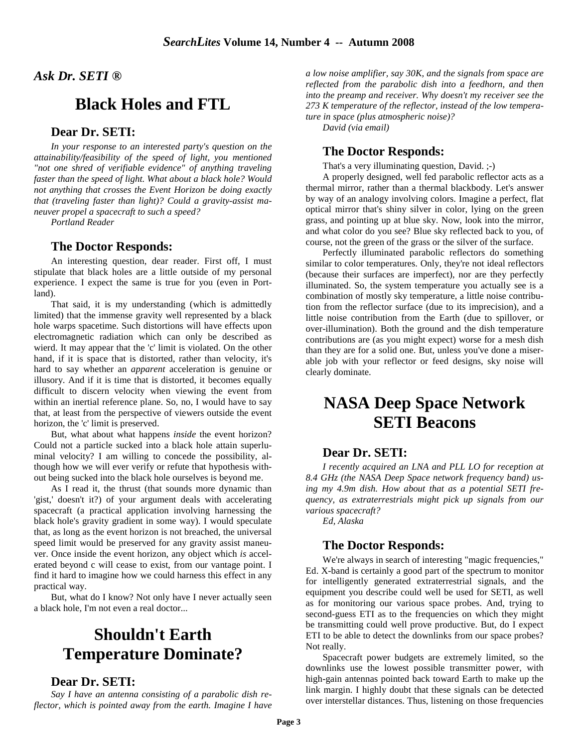*Ask Dr. SETI ®* 

## **Black Holes and FTL**

### **Dear Dr. SETI:**

*In your response to an interested party's question on the attainability/feasibility of the speed of light, you mentioned "not one shred of verifiable evidence" of anything traveling faster than the speed of light. What about a black hole? Would not anything that crosses the Event Horizon be doing exactly that (traveling faster than light)? Could a gravity-assist maneuver propel a spacecraft to such a speed?* 

*Portland Reader*

#### **The Doctor Responds:**

An interesting question, dear reader. First off, I must stipulate that black holes are a little outside of my personal experience. I expect the same is true for you (even in Portland).

That said, it is my understanding (which is admittedly limited) that the immense gravity well represented by a black hole warps spacetime. Such distortions will have effects upon electromagnetic radiation which can only be described as wierd. It may appear that the 'c' limit is violated. On the other hand, if it is space that is distorted, rather than velocity, it's hard to say whether an *apparent* acceleration is genuine or illusory. And if it is time that is distorted, it becomes equally difficult to discern velocity when viewing the event from within an inertial reference plane. So, no, I would have to say that, at least from the perspective of viewers outside the event horizon, the 'c' limit is preserved.

But, what about what happens *inside* the event horizon? Could not a particle sucked into a black hole attain superluminal velocity? I am willing to concede the possibility, although how we will ever verify or refute that hypothesis without being sucked into the black hole ourselves is beyond me.

As I read it, the thrust (that sounds more dynamic than 'gist,' doesn't it?) of your argument deals with accelerating spacecraft (a practical application involving harnessing the black hole's gravity gradient in some way). I would speculate that, as long as the event horizon is not breached, the universal speed limit would be preserved for any gravity assist maneuver. Once inside the event horizon, any object which *is* accelerated beyond c will cease to exist, from our vantage point. I find it hard to imagine how we could harness this effect in any practical way.

But, what do I know? Not only have I never actually seen a black hole, I'm not even a real doctor...

## **Shouldn't Earth Temperature Dominate?**

### **Dear Dr. SETI:**

*Say I have an antenna consisting of a parabolic dish reflector, which is pointed away from the earth. Imagine I have*  *a low noise amplifier, say 30K, and the signals from space are reflected from the parabolic dish into a feedhorn, and then into the preamp and receiver. Why doesn't my receiver see the 273 K temperature of the reflector, instead of the low temperature in space (plus atmospheric noise)?* 

*David (via email)* 

### **The Doctor Responds:**

That's a very illuminating question, David. ;-)

A properly designed, well fed parabolic reflector acts as a thermal mirror, rather than a thermal blackbody. Let's answer by way of an analogy involving colors. Imagine a perfect, flat optical mirror that's shiny silver in color, lying on the green grass, and pointing up at blue sky. Now, look into the mirror, and what color do you see? Blue sky reflected back to you, of course, not the green of the grass or the silver of the surface.

Perfectly illuminated parabolic reflectors do something similar to color temperatures. Only, they're not ideal reflectors (because their surfaces are imperfect), nor are they perfectly illuminated. So, the system temperature you actually see is a combination of mostly sky temperature, a little noise contribution from the reflector surface (due to its imprecision), and a little noise contribution from the Earth (due to spillover, or over-illumination). Both the ground and the dish temperature contributions are (as you might expect) worse for a mesh dish than they are for a solid one. But, unless you've done a miserable job with your reflector or feed designs, sky noise will clearly dominate.

## **NASA Deep Space Network SETI Beacons**

### **Dear Dr. SETI:**

 *I recently acquired an LNA and PLL LO for reception at 8.4 GHz (the NASA Deep Space network frequency band) using my 4.9m dish. How about that as a potential SETI frequency, as extraterrestrials might pick up signals from our various spacecraft?* 

*Ed, Alaska* 

### **The Doctor Responds:**

 We're always in search of interesting "magic frequencies," Ed. X-band is certainly a good part of the spectrum to monitor for intelligently generated extraterrestrial signals, and the equipment you describe could well be used for SETI, as well as for monitoring our various space probes. And, trying to second-guess ETI as to the frequencies on which they might be transmitting could well prove productive. But, do I expect ETI to be able to detect the downlinks from our space probes? Not really.

Spacecraft power budgets are extremely limited, so the downlinks use the lowest possible transmitter power, with high-gain antennas pointed back toward Earth to make up the link margin. I highly doubt that these signals can be detected over interstellar distances. Thus, listening on those frequencies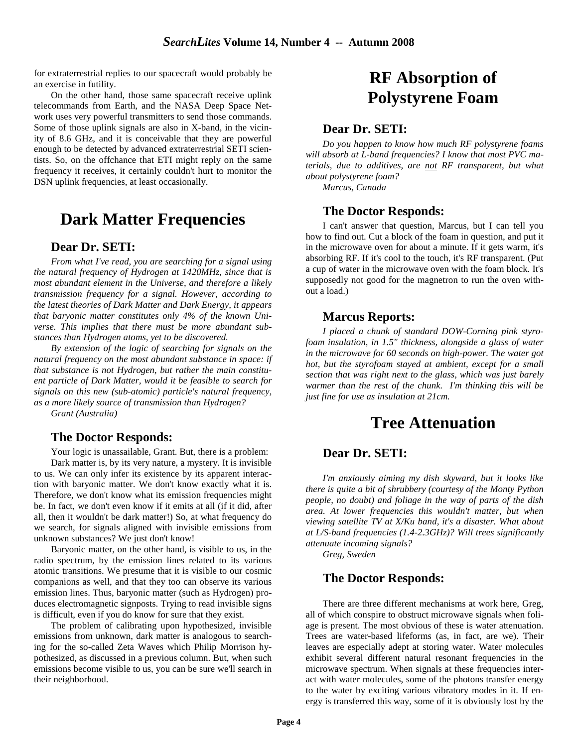for extraterrestrial replies to our spacecraft would probably be an exercise in futility.

On the other hand, those same spacecraft receive uplink telecommands from Earth, and the NASA Deep Space Network uses very powerful transmitters to send those commands. Some of those uplink signals are also in X-band, in the vicinity of 8.6 GHz, and it is conceivable that they are powerful enough to be detected by advanced extraterrestrial SETI scientists. So, on the offchance that ETI might reply on the same frequency it receives, it certainly couldn't hurt to monitor the DSN uplink frequencies, at least occasionally.

### **Dark Matter Frequencies**

### **Dear Dr. SETI:**

 *From what I've read, you are searching for a signal using the natural frequency of Hydrogen at 1420MHz, since that is most abundant element in the Universe, and therefore a likely transmission frequency for a signal. However, according to the latest theories of Dark Matter and Dark Energy, it appears that baryonic matter constitutes only 4% of the known Universe. This implies that there must be more abundant substances than Hydrogen atoms, yet to be discovered.* 

*By extension of the logic of searching for signals on the natural frequency on the most abundant substance in space: if that substance is not Hydrogen, but rather the main constituent particle of Dark Matter, would it be feasible to search for signals on this new (sub-atomic) particle's natural frequency, as a more likely source of transmission than Hydrogen?* 

*Grant (Australia)*

### **The Doctor Responds:**

 Your logic is unassailable, Grant. But, there is a problem: Dark matter is, by its very nature, a mystery. It is invisible to us. We can only infer its existence by its apparent interaction with baryonic matter. We don't know exactly what it is. Therefore, we don't know what its emission frequencies might be. In fact, we don't even know if it emits at all (if it did, after all, then it wouldn't be dark matter!) So, at what frequency do we search, for signals aligned with invisible emissions from unknown substances? We just don't know!

Baryonic matter, on the other hand, is visible to us, in the radio spectrum, by the emission lines related to its various atomic transitions. We presume that it is visible to our cosmic companions as well, and that they too can observe its various emission lines. Thus, baryonic matter (such as Hydrogen) produces electromagnetic signposts. Trying to read invisible signs is difficult, even if you do know for sure that they exist.

The problem of calibrating upon hypothesized, invisible emissions from unknown, dark matter is analogous to searching for the so-called Zeta Waves which Philip Morrison hypothesized, as discussed in a previous column. But, when such emissions become visible to us, you can be sure we'll search in their neighborhood.

## **RF Absorption of Polystyrene Foam**

### **Dear Dr. SETI:**

*Do you happen to know how much RF polystyrene foams will absorb at L-band frequencies? I know that most PVC materials, due to additives, are not RF transparent, but what about polystyrene foam?* 

*Marcus, Canada* 

#### **The Doctor Responds:**

 I can't answer that question, Marcus, but I can tell you how to find out. Cut a block of the foam in question, and put it in the microwave oven for about a minute. If it gets warm, it's absorbing RF. If it's cool to the touch, it's RF transparent. (Put a cup of water in the microwave oven with the foam block. It's supposedly not good for the magnetron to run the oven without a load.)

### **Marcus Reports:**

 *I placed a chunk of standard DOW-Corning pink styrofoam insulation, in 1.5" thickness, alongside a glass of water in the microwave for 60 seconds on high-power. The water got hot, but the styrofoam stayed at ambient, except for a small section that was right next to the glass, which was just barely warmer than the rest of the chunk. I'm thinking this will be just fine for use as insulation at 21cm.* 

## **Tree Attenuation**

### **Dear Dr. SETI:**

 *I'm anxiously aiming my dish skyward, but it looks like there is quite a bit of shrubbery (courtesy of the Monty Python people, no doubt) and foliage in the way of parts of the dish area. At lower frequencies this wouldn't matter, but when viewing satellite TV at X/Ku band, it's a disaster. What about at L/S-band frequencies (1.4-2.3GHz)? Will trees significantly attenuate incoming signals?* 

*Greg, Sweden* 

### **The Doctor Responds:**

 There are three different mechanisms at work here, Greg, all of which conspire to obstruct microwave signals when foliage is present. The most obvious of these is water attenuation. Trees are water-based lifeforms (as, in fact, are we). Their leaves are especially adept at storing water. Water molecules exhibit several different natural resonant frequencies in the microwave spectrum. When signals at these frequencies interact with water molecules, some of the photons transfer energy to the water by exciting various vibratory modes in it. If energy is transferred this way, some of it is obviously lost by the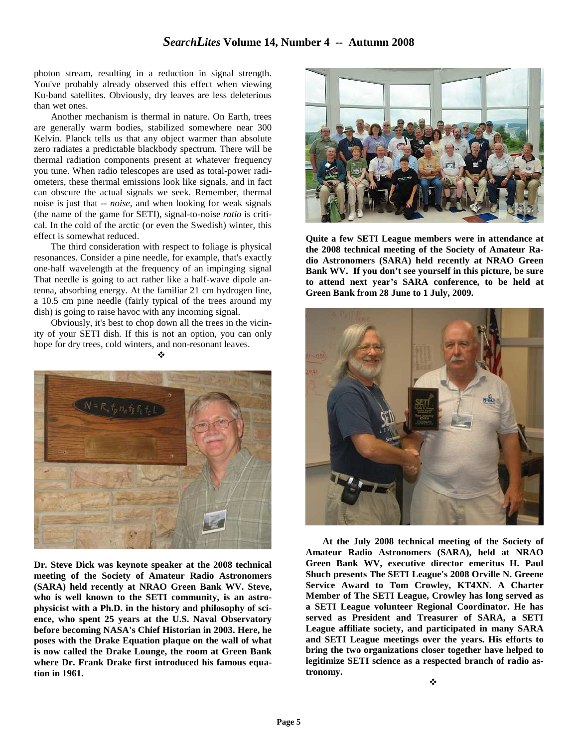photon stream, resulting in a reduction in signal strength. You've probably already observed this effect when viewing Ku-band satellites. Obviously, dry leaves are less deleterious than wet ones.

Another mechanism is thermal in nature. On Earth, trees are generally warm bodies, stabilized somewhere near 300 Kelvin. Planck tells us that any object warmer than absolute zero radiates a predictable blackbody spectrum. There will be thermal radiation components present at whatever frequency you tune. When radio telescopes are used as total-power radiometers, these thermal emissions look like signals, and in fact can obscure the actual signals we seek. Remember, thermal noise is just that -- *noise*, and when looking for weak signals (the name of the game for SETI), signal-to-noise *ratio* is critical. In the cold of the arctic (or even the Swedish) winter, this effect is somewhat reduced.

The third consideration with respect to foliage is physical resonances. Consider a pine needle, for example, that's exactly one-half wavelength at the frequency of an impinging signal That needle is going to act rather like a half-wave dipole antenna, absorbing energy. At the familiar 21 cm hydrogen line, a 10.5 cm pine needle (fairly typical of the trees around my dish) is going to raise havoc with any incoming signal.

Obviously, it's best to chop down all the trees in the vicinity of your SETI dish. If this is not an option, you can only hope for dry trees, cold winters, and non-resonant leaves.

 $\cdot$ 



**Dr. Steve Dick was keynote speaker at the 2008 technical meeting of the Society of Amateur Radio Astronomers (SARA) held recently at NRAO Green Bank WV. Steve, who is well known to the SETI community, is an astrophysicist with a Ph.D. in the history and philosophy of science, who spent 25 years at the U.S. Naval Observatory before becoming NASA's Chief Historian in 2003. Here, he poses with the Drake Equation plaque on the wall of what is now called the Drake Lounge, the room at Green Bank where Dr. Frank Drake first introduced his famous equation in 1961.** 



**Quite a few SETI League members were in attendance at the 2008 technical meeting of the Society of Amateur Radio Astronomers (SARA) held recently at NRAO Green Bank WV. If you don't see yourself in this picture, be sure to attend next year's SARA conference, to be held at Green Bank from 28 June to 1 July, 2009.**



**At the July 2008 technical meeting of the Society of Amateur Radio Astronomers (SARA), held at NRAO Green Bank WV, executive director emeritus H. Paul Shuch presents The SETI League's 2008 Orville N. Greene Service Award to Tom Crowley, KT4XN. A Charter Member of The SETI League, Crowley has long served as a SETI League volunteer Regional Coordinator. He has served as President and Treasurer of SARA, a SETI League affiliate society, and participated in many SARA and SETI League meetings over the years. His efforts to bring the two organizations closer together have helped to legitimize SETI science as a respected branch of radio astronomy.**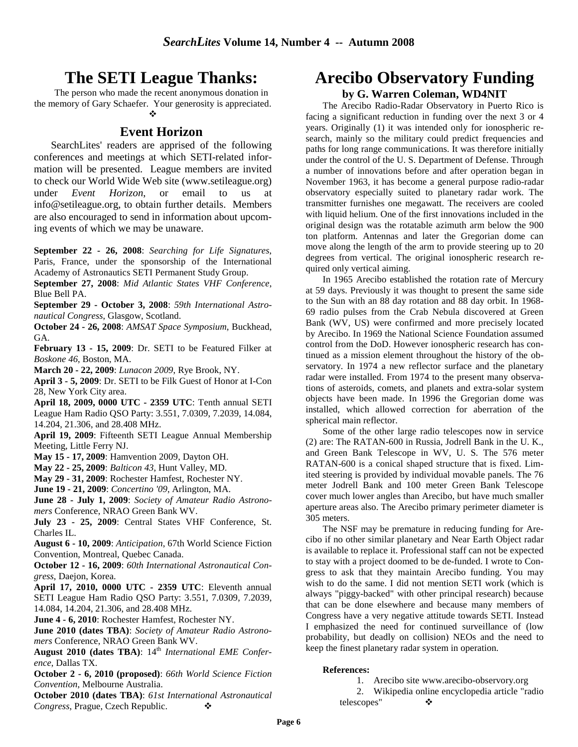## **The SETI League Thanks:**

The person who made the recent anonymous donation in the memory of Gary Schaefer. Your generosity is appreciated.

### -

### **Event Horizon**

SearchLites' readers are apprised of the following conferences and meetings at which SETI-related information will be presented. League members are invited to check our World Wide Web site (www.setileague.org) under *Event Horizon*, or email to us at info@setileague.org, to obtain further details. Members are also encouraged to send in information about upcoming events of which we may be unaware.

**September 22 - 26, 2008**: *Searching for Life Signatures*, Paris, France, under the sponsorship of the International Academy of Astronautics SETI Permanent Study Group.

**September 27, 2008**: *Mid Atlantic States VHF Conference*, Blue Bell PA.

**September 29 - October 3, 2008**: *59th International Astronautical Congress*, Glasgow, Scotland.

**October 24 - 26, 2008**: *AMSAT Space Symposium*, Buckhead, GA.

**February 13 - 15, 2009**: Dr. SETI to be Featured Filker at *Boskone 46*, Boston, MA.

**March 20 - 22, 2009**: *Lunacon 2009*, Rye Brook, NY.

**April 3 - 5, 2009**: Dr. SETI to be Filk Guest of Honor at I-Con 28, New York City area.

**April 18, 2009, 0000 UTC - 2359 UTC**: Tenth annual SETI League Ham Radio QSO Party: 3.551, 7.0309, 7.2039, 14.084, 14.204, 21.306, and 28.408 MHz.

**April 19, 2009**: Fifteenth SETI League Annual Membership Meeting, Little Ferry NJ.

**May 15 - 17, 2009**: Hamvention 2009, Dayton OH.

**May 22 - 25, 2009**: *Balticon 43*, Hunt Valley, MD.

**May 29 - 31, 2009**: Rochester Hamfest, Rochester NY.

**June 19 - 21, 2009**: *Concertino '09*, Arlington, MA.

**June 28 - July 1, 2009**: *Society of Amateur Radio Astronomers* Conference, NRAO Green Bank WV.

**July 23 - 25, 2009**: Central States VHF Conference, St. Charles IL.

**August 6 - 10, 2009**: *Anticipation*, 67th World Science Fiction Convention, Montreal, Quebec Canada.

**October 12 - 16, 2009**: *60th International Astronautical Congress*, Daejon, Korea.

**April 17, 2010, 0000 UTC - 2359 UTC**: Eleventh annual SETI League Ham Radio QSO Party: 3.551, 7.0309, 7.2039, 14.084, 14.204, 21.306, and 28.408 MHz.

**June 4 - 6, 2010**: Rochester Hamfest, Rochester NY.

**June 2010 (dates TBA)**: *Society of Amateur Radio Astronomers* Conference, NRAO Green Bank WV.

August 2010 (dates TBA):  $14<sup>th</sup> International EME Conference$ *ence*, Dallas TX.

**October 2 - 6, 2010 (proposed)**: *66th World Science Fiction Convention*, Melbourne Australia.

**October 2010 (dates TBA)**: *61st International Astronautical Congress*, Prague, Czech Republic. -

### **Arecibo Observatory Funding by G. Warren Coleman, WD4NIT**

The Arecibo Radio-Radar Observatory in Puerto Rico is facing a significant reduction in funding over the next 3 or 4 years. Originally (1) it was intended only for ionospheric research, mainly so the military could predict frequencies and paths for long range communications. It was therefore initially under the control of the U. S. Department of Defense. Through a number of innovations before and after operation began in November 1963, it has become a general purpose radio-radar observatory especially suited to planetary radar work. The transmitter furnishes one megawatt. The receivers are cooled with liquid helium. One of the first innovations included in the original design was the rotatable azimuth arm below the 900 ton platform. Antennas and later the Gregorian dome can move along the length of the arm to provide steering up to 20 degrees from vertical. The original ionospheric research required only vertical aiming.

In 1965 Arecibo established the rotation rate of Mercury at 59 days. Previously it was thought to present the same side to the Sun with an 88 day rotation and 88 day orbit. In 1968- 69 radio pulses from the Crab Nebula discovered at Green Bank (WV, US) were confirmed and more precisely located by Arecibo. In 1969 the National Science Foundation assumed control from the DoD. However ionospheric research has continued as a mission element throughout the history of the observatory. In 1974 a new reflector surface and the planetary radar were installed. From 1974 to the present many observations of asteroids, comets, and planets and extra-solar system objects have been made. In 1996 the Gregorian dome was installed, which allowed correction for aberration of the spherical main reflector.

Some of the other large radio telescopes now in service (2) are: The RATAN-600 in Russia, Jodrell Bank in the U. K., and Green Bank Telescope in WV, U. S. The 576 meter RATAN-600 is a conical shaped structure that is fixed. Limited steering is provided by individual movable panels. The 76 meter Jodrell Bank and 100 meter Green Bank Telescope cover much lower angles than Arecibo, but have much smaller aperture areas also. The Arecibo primary perimeter diameter is 305 meters.

The NSF may be premature in reducing funding for Arecibo if no other similar planetary and Near Earth Object radar is available to replace it. Professional staff can not be expected to stay with a project doomed to be de-funded. I wrote to Congress to ask that they maintain Arecibo funding. You may wish to do the same. I did not mention SETI work (which is always "piggy-backed" with other principal research) because that can be done elsewhere and because many members of Congress have a very negative attitude towards SETI. Instead I emphasized the need for continued surveillance of (low probability, but deadly on collision) NEOs and the need to keep the finest planetary radar system in operation.

#### **References:**

1. Arecibo site www.arecibo-observory.org

2. Wikipedia online encyclopedia article "radio telescopes"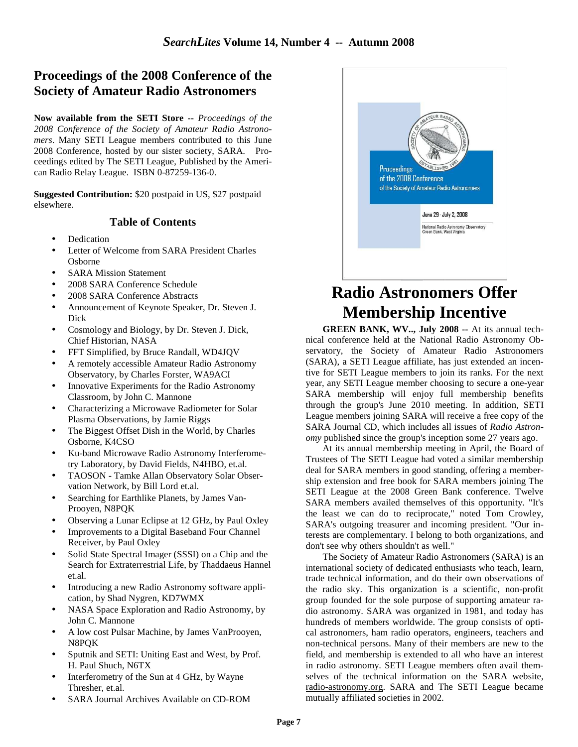### **Proceedings of the 2008 Conference of the Society of Amateur Radio Astronomers**

**Now available from the SETI Store --** *Proceedings of the 2008 Conference of the Society of Amateur Radio Astronomers*. Many SETI League members contributed to this June 2008 Conference, hosted by our sister society, SARA. Proceedings edited by The SETI League, Published by the American Radio Relay League. ISBN 0-87259-136-0.

**Suggested Contribution:** \$20 postpaid in US, \$27 postpaid elsewhere.

### **Table of Contents**

- **Dedication**
- Letter of Welcome from SARA President Charles Osborne
- **SARA Mission Statement**
- 2008 SARA Conference Schedule
- 2008 SARA Conference Abstracts
- Announcement of Keynote Speaker, Dr. Steven J. Dick
- Cosmology and Biology, by Dr. Steven J. Dick, Chief Historian, NASA
- FFT Simplified, by Bruce Randall, WD4JQV
- A remotely accessible Amateur Radio Astronomy Observatory, by Charles Forster, WA9ACI
- Innovative Experiments for the Radio Astronomy Classroom, by John C. Mannone
- Characterizing a Microwave Radiometer for Solar Plasma Observations, by Jamie Riggs
- The Biggest Offset Dish in the World, by Charles Osborne, K4CSO
- Ku-band Microwave Radio Astronomy Interferometry Laboratory, by David Fields, N4HBO, et.al.
- TAOSON Tamke Allan Observatory Solar Observation Network, by Bill Lord et.al.
- Searching for Earthlike Planets, by James Van-Prooyen, N8PQK
- Observing a Lunar Eclipse at 12 GHz, by Paul Oxley
- Improvements to a Digital Baseband Four Channel Receiver, by Paul Oxley
- Solid State Spectral Imager (SSSI) on a Chip and the Search for Extraterrestrial Life, by Thaddaeus Hannel et.al.
- Introducing a new Radio Astronomy software application, by Shad Nygren, KD7WMX
- NASA Space Exploration and Radio Astronomy, by John C. Mannone
- A low cost Pulsar Machine, by James VanProoyen, N8PQK
- Sputnik and SETI: Uniting East and West, by Prof. H. Paul Shuch, N6TX
- Interferometry of the Sun at 4 GHz, by Wayne Thresher, et.al.
- SARA Journal Archives Available on CD-ROM



## **Radio Astronomers Offer Membership Incentive**

**GREEN BANK, WV.., July 2008 --** At its annual technical conference held at the National Radio Astronomy Observatory, the Society of Amateur Radio Astronomers (SARA), a SETI League affiliate, has just extended an incentive for SETI League members to join its ranks. For the next year, any SETI League member choosing to secure a one-year SARA membership will enjoy full membership benefits through the group's June 2010 meeting. In addition, SETI League members joining SARA will receive a free copy of the SARA Journal CD, which includes all issues of *Radio Astronomy* published since the group's inception some 27 years ago.

At its annual membership meeting in April, the Board of Trustees of The SETI League had voted a similar membership deal for SARA members in good standing, offering a membership extension and free book for SARA members joining The SETI League at the 2008 Green Bank conference. Twelve SARA members availed themselves of this opportunity. "It's the least we can do to reciprocate," noted Tom Crowley, SARA's outgoing treasurer and incoming president. "Our interests are complementary. I belong to both organizations, and don't see why others shouldn't as well."

The Society of Amateur Radio Astronomers (SARA) is an international society of dedicated enthusiasts who teach, learn, trade technical information, and do their own observations of the radio sky. This organization is a scientific, non-profit group founded for the sole purpose of supporting amateur radio astronomy. SARA was organized in 1981, and today has hundreds of members worldwide. The group consists of optical astronomers, ham radio operators, engineers, teachers and non-technical persons. Many of their members are new to the field, and membership is extended to all who have an interest in radio astronomy. SETI League members often avail themselves of the technical information on the SARA website, radio-astronomy.org. SARA and The SETI League became mutually affiliated societies in 2002.